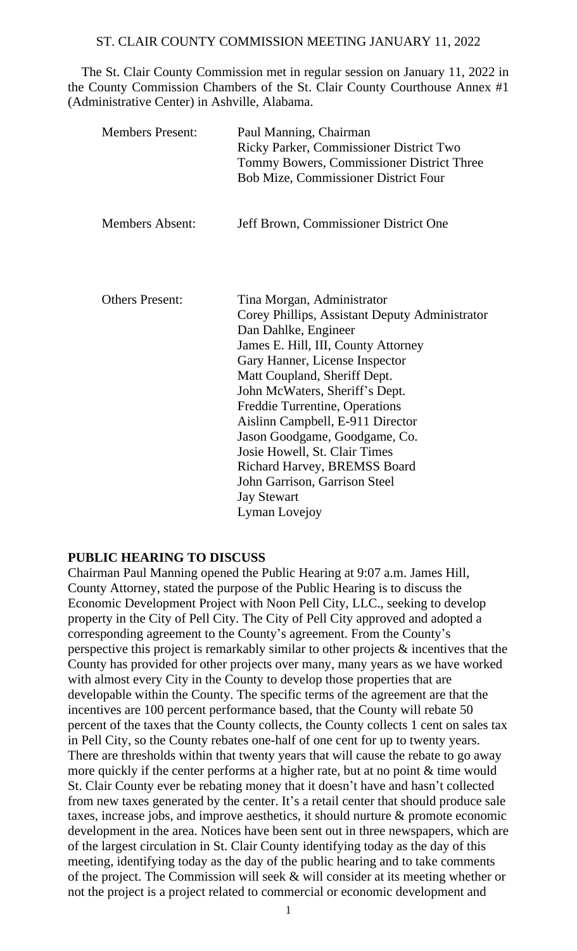The St. Clair County Commission met in regular session on January 11, 2022 in the County Commission Chambers of the St. Clair County Courthouse Annex #1 (Administrative Center) in Ashville, Alabama.

| <b>Members Present:</b> | Paul Manning, Chairman<br>Ricky Parker, Commissioner District Two<br>Tommy Bowers, Commissioner District Three<br><b>Bob Mize, Commissioner District Four</b>                                                                                                                                                                                                                                                                                                                  |
|-------------------------|--------------------------------------------------------------------------------------------------------------------------------------------------------------------------------------------------------------------------------------------------------------------------------------------------------------------------------------------------------------------------------------------------------------------------------------------------------------------------------|
| <b>Members Absent:</b>  | Jeff Brown, Commissioner District One                                                                                                                                                                                                                                                                                                                                                                                                                                          |
| <b>Others Present:</b>  | Tina Morgan, Administrator<br>Corey Phillips, Assistant Deputy Administrator<br>Dan Dahlke, Engineer<br>James E. Hill, III, County Attorney<br>Gary Hanner, License Inspector<br>Matt Coupland, Sheriff Dept.<br>John McWaters, Sheriff's Dept.<br>Freddie Turrentine, Operations<br>Aislinn Campbell, E-911 Director<br>Jason Goodgame, Goodgame, Co.<br>Josie Howell, St. Clair Times<br>Richard Harvey, BREMSS Board<br>John Garrison, Garrison Steel<br><b>Jay Stewart</b> |
|                         | Lyman Lovejoy                                                                                                                                                                                                                                                                                                                                                                                                                                                                  |

#### **PUBLIC HEARING TO DISCUSS**

Chairman Paul Manning opened the Public Hearing at 9:07 a.m. James Hill, County Attorney, stated the purpose of the Public Hearing is to discuss the Economic Development Project with Noon Pell City, LLC., seeking to develop property in the City of Pell City. The City of Pell City approved and adopted a corresponding agreement to the County's agreement. From the County's perspective this project is remarkably similar to other projects & incentives that the County has provided for other projects over many, many years as we have worked with almost every City in the County to develop those properties that are developable within the County. The specific terms of the agreement are that the incentives are 100 percent performance based, that the County will rebate 50 percent of the taxes that the County collects, the County collects 1 cent on sales tax in Pell City, so the County rebates one-half of one cent for up to twenty years. There are thresholds within that twenty years that will cause the rebate to go away more quickly if the center performs at a higher rate, but at no point & time would St. Clair County ever be rebating money that it doesn't have and hasn't collected from new taxes generated by the center. It's a retail center that should produce sale taxes, increase jobs, and improve aesthetics, it should nurture & promote economic development in the area. Notices have been sent out in three newspapers, which are of the largest circulation in St. Clair County identifying today as the day of this meeting, identifying today as the day of the public hearing and to take comments of the project. The Commission will seek & will consider at its meeting whether or not the project is a project related to commercial or economic development and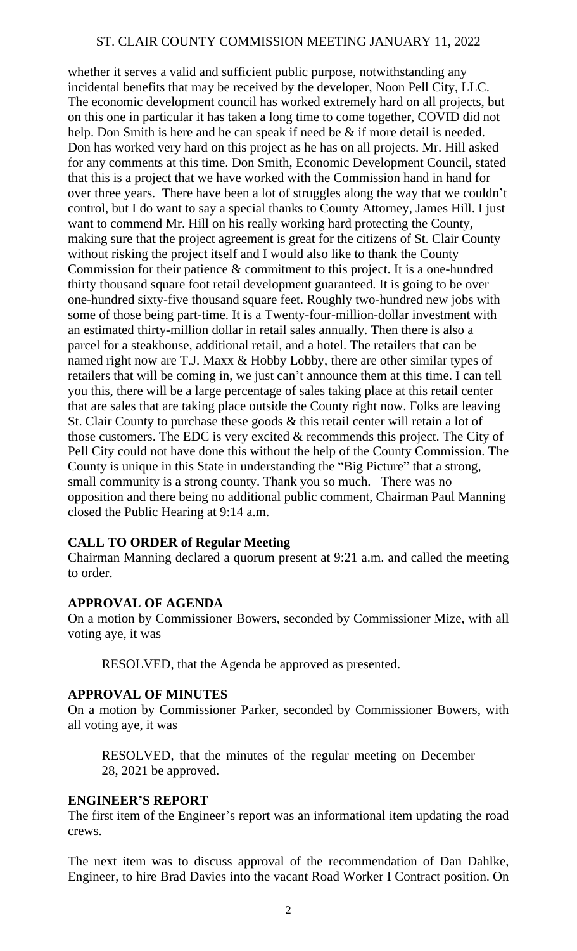whether it serves a valid and sufficient public purpose, notwithstanding any incidental benefits that may be received by the developer, Noon Pell City, LLC. The economic development council has worked extremely hard on all projects, but on this one in particular it has taken a long time to come together, COVID did not help. Don Smith is here and he can speak if need be & if more detail is needed. Don has worked very hard on this project as he has on all projects. Mr. Hill asked for any comments at this time. Don Smith, Economic Development Council, stated that this is a project that we have worked with the Commission hand in hand for over three years. There have been a lot of struggles along the way that we couldn't control, but I do want to say a special thanks to County Attorney, James Hill. I just want to commend Mr. Hill on his really working hard protecting the County, making sure that the project agreement is great for the citizens of St. Clair County without risking the project itself and I would also like to thank the County Commission for their patience & commitment to this project. It is a one-hundred thirty thousand square foot retail development guaranteed. It is going to be over one-hundred sixty-five thousand square feet. Roughly two-hundred new jobs with some of those being part-time. It is a Twenty-four-million-dollar investment with an estimated thirty-million dollar in retail sales annually. Then there is also a parcel for a steakhouse, additional retail, and a hotel. The retailers that can be named right now are T.J. Maxx & Hobby Lobby, there are other similar types of retailers that will be coming in, we just can't announce them at this time. I can tell you this, there will be a large percentage of sales taking place at this retail center that are sales that are taking place outside the County right now. Folks are leaving St. Clair County to purchase these goods & this retail center will retain a lot of those customers. The EDC is very excited & recommends this project. The City of Pell City could not have done this without the help of the County Commission. The County is unique in this State in understanding the "Big Picture" that a strong, small community is a strong county. Thank you so much. There was no opposition and there being no additional public comment, Chairman Paul Manning closed the Public Hearing at 9:14 a.m.

# **CALL TO ORDER of Regular Meeting**

Chairman Manning declared a quorum present at 9:21 a.m. and called the meeting to order.

#### **APPROVAL OF AGENDA**

On a motion by Commissioner Bowers, seconded by Commissioner Mize, with all voting aye, it was

RESOLVED, that the Agenda be approved as presented.

#### **APPROVAL OF MINUTES**

On a motion by Commissioner Parker, seconded by Commissioner Bowers, with all voting aye, it was

RESOLVED, that the minutes of the regular meeting on December 28, 2021 be approved.

#### **ENGINEER'S REPORT**

The first item of the Engineer's report was an informational item updating the road crews.

The next item was to discuss approval of the recommendation of Dan Dahlke, Engineer, to hire Brad Davies into the vacant Road Worker I Contract position. On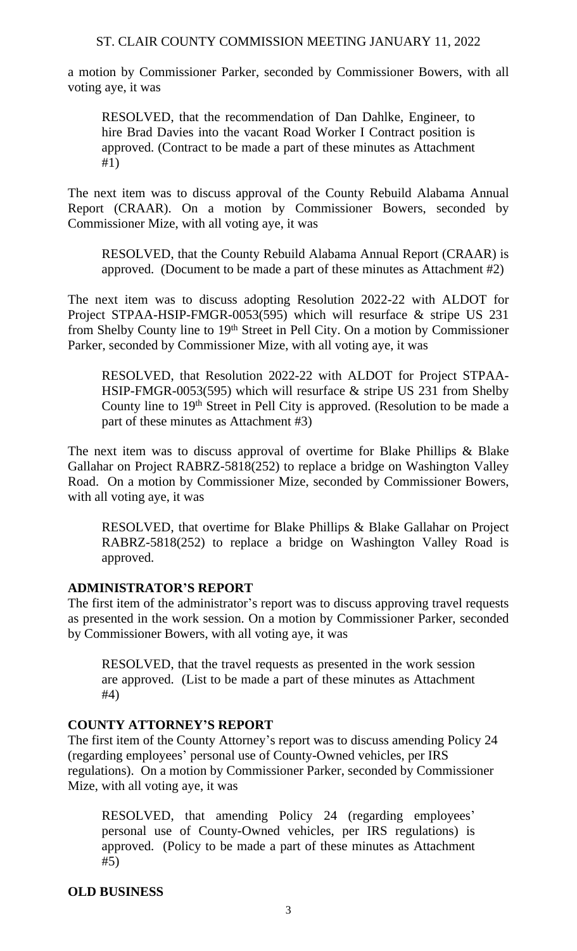a motion by Commissioner Parker, seconded by Commissioner Bowers, with all voting aye, it was

RESOLVED, that the recommendation of Dan Dahlke, Engineer, to hire Brad Davies into the vacant Road Worker I Contract position is approved. (Contract to be made a part of these minutes as Attachment #1)

The next item was to discuss approval of the County Rebuild Alabama Annual Report (CRAAR). On a motion by Commissioner Bowers, seconded by Commissioner Mize, with all voting aye, it was

RESOLVED, that the County Rebuild Alabama Annual Report (CRAAR) is approved. (Document to be made a part of these minutes as Attachment #2)

The next item was to discuss adopting Resolution 2022-22 with ALDOT for Project STPAA-HSIP-FMGR-0053(595) which will resurface & stripe US 231 from Shelby County line to 19th Street in Pell City. On a motion by Commissioner Parker, seconded by Commissioner Mize, with all voting aye, it was

RESOLVED, that Resolution 2022-22 with ALDOT for Project STPAA-HSIP-FMGR-0053(595) which will resurface & stripe US 231 from Shelby County line to 19<sup>th</sup> Street in Pell City is approved. (Resolution to be made a part of these minutes as Attachment #3)

The next item was to discuss approval of overtime for Blake Phillips & Blake Gallahar on Project RABRZ-5818(252) to replace a bridge on Washington Valley Road. On a motion by Commissioner Mize, seconded by Commissioner Bowers, with all voting aye, it was

RESOLVED, that overtime for Blake Phillips & Blake Gallahar on Project RABRZ-5818(252) to replace a bridge on Washington Valley Road is approved.

# **ADMINISTRATOR'S REPORT**

The first item of the administrator's report was to discuss approving travel requests as presented in the work session. On a motion by Commissioner Parker, seconded by Commissioner Bowers, with all voting aye, it was

RESOLVED, that the travel requests as presented in the work session are approved. (List to be made a part of these minutes as Attachment #4)

# **COUNTY ATTORNEY'S REPORT**

The first item of the County Attorney's report was to discuss amending Policy 24 (regarding employees' personal use of County-Owned vehicles, per IRS regulations). On a motion by Commissioner Parker, seconded by Commissioner Mize, with all voting aye, it was

RESOLVED, that amending Policy 24 (regarding employees' personal use of County-Owned vehicles, per IRS regulations) is approved. (Policy to be made a part of these minutes as Attachment #5)

# **OLD BUSINESS**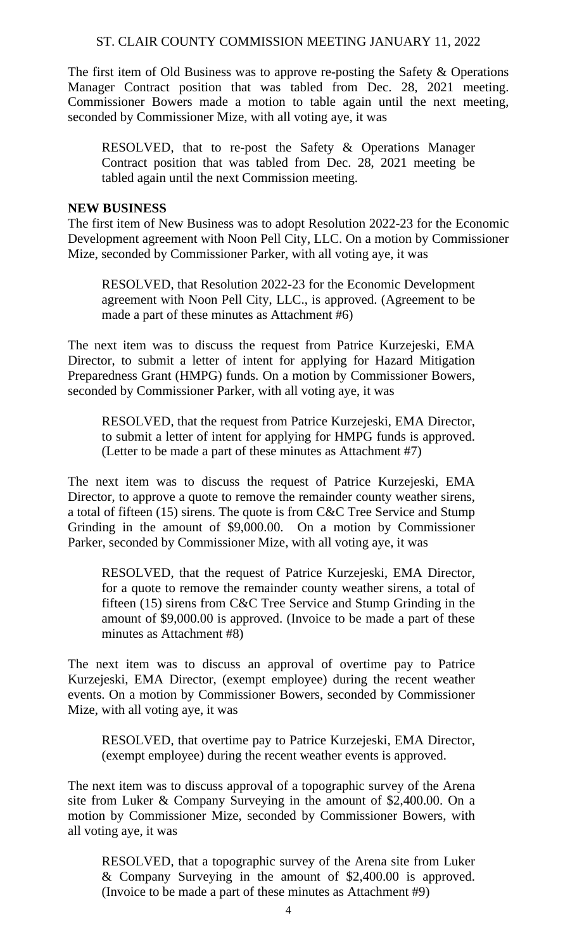The first item of Old Business was to approve re-posting the Safety & Operations Manager Contract position that was tabled from Dec. 28, 2021 meeting. Commissioner Bowers made a motion to table again until the next meeting, seconded by Commissioner Mize, with all voting aye, it was

RESOLVED, that to re-post the Safety & Operations Manager Contract position that was tabled from Dec. 28, 2021 meeting be tabled again until the next Commission meeting.

#### **NEW BUSINESS**

The first item of New Business was to adopt Resolution 2022-23 for the Economic Development agreement with Noon Pell City, LLC. On a motion by Commissioner Mize, seconded by Commissioner Parker, with all voting aye, it was

RESOLVED, that Resolution 2022-23 for the Economic Development agreement with Noon Pell City, LLC., is approved. (Agreement to be made a part of these minutes as Attachment #6)

The next item was to discuss the request from Patrice Kurzejeski, EMA Director, to submit a letter of intent for applying for Hazard Mitigation Preparedness Grant (HMPG) funds. On a motion by Commissioner Bowers, seconded by Commissioner Parker, with all voting aye, it was

RESOLVED, that the request from Patrice Kurzejeski, EMA Director, to submit a letter of intent for applying for HMPG funds is approved. (Letter to be made a part of these minutes as Attachment #7)

The next item was to discuss the request of Patrice Kurzejeski, EMA Director, to approve a quote to remove the remainder county weather sirens, a total of fifteen (15) sirens. The quote is from C&C Tree Service and Stump Grinding in the amount of \$9,000.00. On a motion by Commissioner Parker, seconded by Commissioner Mize, with all voting aye, it was

RESOLVED, that the request of Patrice Kurzejeski, EMA Director, for a quote to remove the remainder county weather sirens, a total of fifteen (15) sirens from C&C Tree Service and Stump Grinding in the amount of \$9,000.00 is approved. (Invoice to be made a part of these minutes as Attachment #8)

The next item was to discuss an approval of overtime pay to Patrice Kurzejeski, EMA Director, (exempt employee) during the recent weather events. On a motion by Commissioner Bowers, seconded by Commissioner Mize, with all voting aye, it was

RESOLVED, that overtime pay to Patrice Kurzejeski, EMA Director, (exempt employee) during the recent weather events is approved.

The next item was to discuss approval of a topographic survey of the Arena site from Luker & Company Surveying in the amount of \$2,400.00. On a motion by Commissioner Mize, seconded by Commissioner Bowers, with all voting aye, it was

RESOLVED, that a topographic survey of the Arena site from Luker & Company Surveying in the amount of \$2,400.00 is approved. (Invoice to be made a part of these minutes as Attachment #9)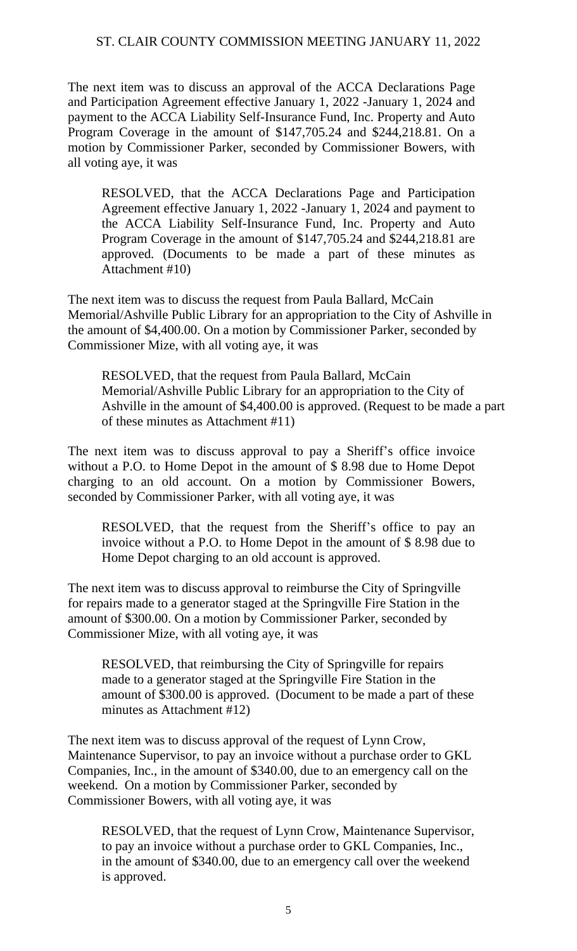The next item was to discuss an approval of the ACCA Declarations Page and Participation Agreement effective January 1, 2022 -January 1, 2024 and payment to the ACCA Liability Self-Insurance Fund, Inc. Property and Auto Program Coverage in the amount of \$147,705.24 and \$244,218.81. On a motion by Commissioner Parker, seconded by Commissioner Bowers, with all voting aye, it was

RESOLVED, that the ACCA Declarations Page and Participation Agreement effective January 1, 2022 -January 1, 2024 and payment to the ACCA Liability Self-Insurance Fund, Inc. Property and Auto Program Coverage in the amount of \$147,705.24 and \$244,218.81 are approved. (Documents to be made a part of these minutes as Attachment #10)

The next item was to discuss the request from Paula Ballard, McCain Memorial/Ashville Public Library for an appropriation to the City of Ashville in the amount of \$4,400.00. On a motion by Commissioner Parker, seconded by Commissioner Mize, with all voting aye, it was

RESOLVED, that the request from Paula Ballard, McCain Memorial/Ashville Public Library for an appropriation to the City of Ashville in the amount of \$4,400.00 is approved. (Request to be made a part of these minutes as Attachment #11)

The next item was to discuss approval to pay a Sheriff's office invoice without a P.O. to Home Depot in the amount of \$ 8.98 due to Home Depot charging to an old account. On a motion by Commissioner Bowers, seconded by Commissioner Parker, with all voting aye, it was

RESOLVED, that the request from the Sheriff's office to pay an invoice without a P.O. to Home Depot in the amount of \$ 8.98 due to Home Depot charging to an old account is approved.

The next item was to discuss approval to reimburse the City of Springville for repairs made to a generator staged at the Springville Fire Station in the amount of \$300.00. On a motion by Commissioner Parker, seconded by Commissioner Mize, with all voting aye, it was

RESOLVED, that reimbursing the City of Springville for repairs made to a generator staged at the Springville Fire Station in the amount of \$300.00 is approved. (Document to be made a part of these minutes as Attachment #12)

The next item was to discuss approval of the request of Lynn Crow, Maintenance Supervisor, to pay an invoice without a purchase order to GKL Companies, Inc., in the amount of \$340.00, due to an emergency call on the weekend. On a motion by Commissioner Parker, seconded by Commissioner Bowers, with all voting aye, it was

RESOLVED, that the request of Lynn Crow, Maintenance Supervisor, to pay an invoice without a purchase order to GKL Companies, Inc., in the amount of \$340.00, due to an emergency call over the weekend is approved.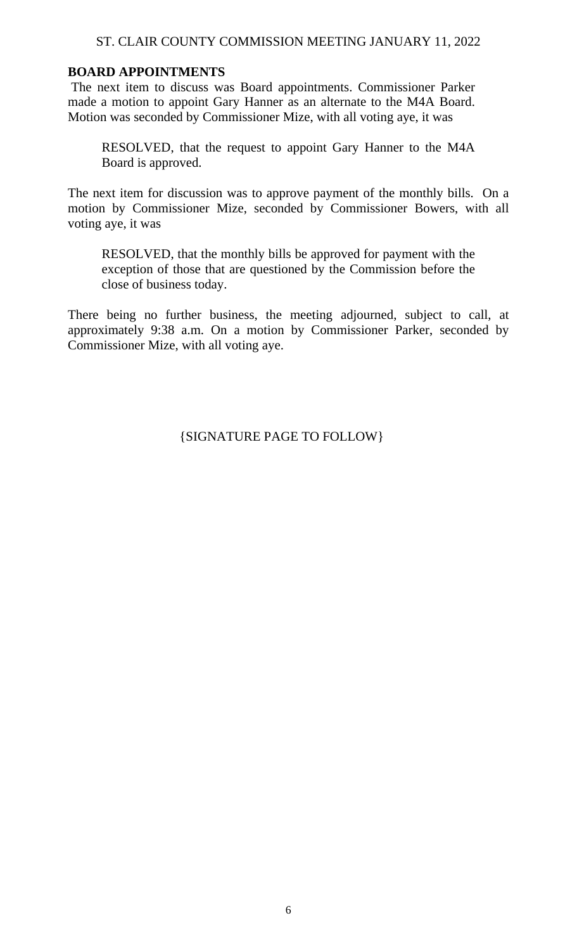# **BOARD APPOINTMENTS**

The next item to discuss was Board appointments. Commissioner Parker made a motion to appoint Gary Hanner as an alternate to the M4A Board. Motion was seconded by Commissioner Mize, with all voting aye, it was

RESOLVED, that the request to appoint Gary Hanner to the M4A Board is approved.

The next item for discussion was to approve payment of the monthly bills. On a motion by Commissioner Mize, seconded by Commissioner Bowers, with all voting aye, it was

RESOLVED, that the monthly bills be approved for payment with the exception of those that are questioned by the Commission before the close of business today.

There being no further business, the meeting adjourned, subject to call, at approximately 9:38 a.m. On a motion by Commissioner Parker, seconded by Commissioner Mize, with all voting aye.

{SIGNATURE PAGE TO FOLLOW}